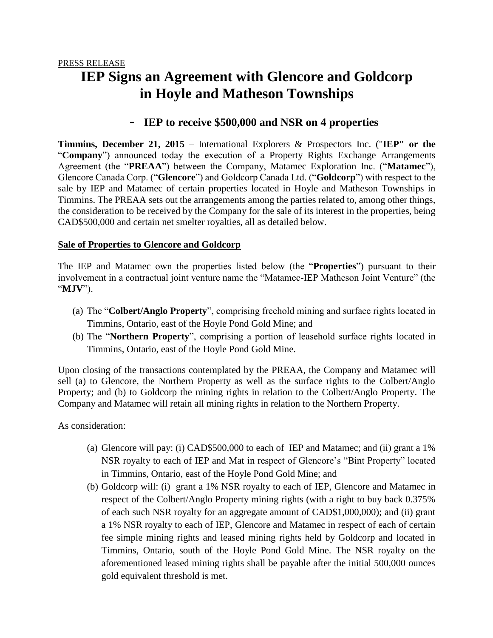# **IEP Signs an Agreement with Glencore and Goldcorp in Hoyle and Matheson Townships**

## - **IEP to receive \$500,000 and NSR on 4 properties**

**Timmins, December 21, 2015** – International Explorers & Prospectors Inc. ("**IEP" or the**  "**Company**") announced today the execution of a Property Rights Exchange Arrangements Agreement (the "**PREAA**") between the Company, Matamec Exploration Inc. ("**Matamec**"), Glencore Canada Corp. ("**Glencore**") and Goldcorp Canada Ltd. ("**Goldcorp**") with respect to the sale by IEP and Matamec of certain properties located in Hoyle and Matheson Townships in Timmins. The PREAA sets out the arrangements among the parties related to, among other things, the consideration to be received by the Company for the sale of its interest in the properties, being CAD\$500,000 and certain net smelter royalties, all as detailed below.

#### **Sale of Properties to Glencore and Goldcorp**

The IEP and Matamec own the properties listed below (the "**Properties**") pursuant to their involvement in a contractual joint venture name the "Matamec-IEP Matheson Joint Venture" (the "**MJV**").

- (a) The "**Colbert/Anglo Property**", comprising freehold mining and surface rights located in Timmins, Ontario, east of the Hoyle Pond Gold Mine; and
- (b) The "**Northern Property**", comprising a portion of leasehold surface rights located in Timmins, Ontario, east of the Hoyle Pond Gold Mine.

Upon closing of the transactions contemplated by the PREAA, the Company and Matamec will sell (a) to Glencore, the Northern Property as well as the surface rights to the Colbert/Anglo Property; and (b) to Goldcorp the mining rights in relation to the Colbert/Anglo Property. The Company and Matamec will retain all mining rights in relation to the Northern Property.

As consideration:

- (a) Glencore will pay: (i) CAD\$500,000 to each of IEP and Matamec; and (ii) grant a 1% NSR royalty to each of IEP and Mat in respect of Glencore's "Bint Property" located in Timmins, Ontario, east of the Hoyle Pond Gold Mine; and
- (b) Goldcorp will: (i) grant a 1% NSR royalty to each of IEP, Glencore and Matamec in respect of the Colbert/Anglo Property mining rights (with a right to buy back 0.375% of each such NSR royalty for an aggregate amount of CAD\$1,000,000); and (ii) grant a 1% NSR royalty to each of IEP, Glencore and Matamec in respect of each of certain fee simple mining rights and leased mining rights held by Goldcorp and located in Timmins, Ontario, south of the Hoyle Pond Gold Mine. The NSR royalty on the aforementioned leased mining rights shall be payable after the initial 500,000 ounces gold equivalent threshold is met.